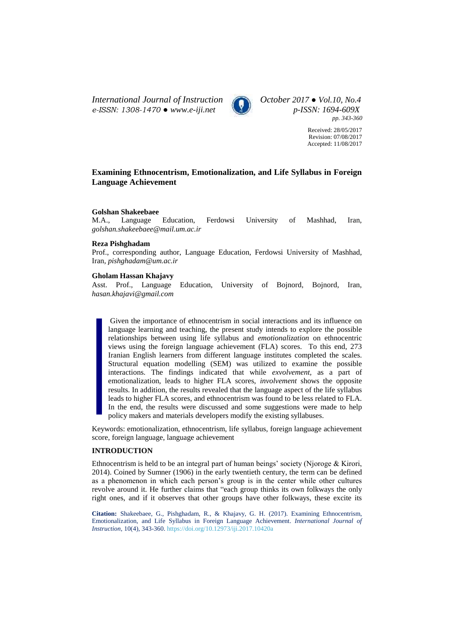*International Journal of Instruction October 2017 ● Vol.10, No.4 e-ISSN: 1308-1470 ● [www.e-iji.net](http://www.e-iji.net/) p-ISSN: 1694-609X*



*pp. 343-360*

Received: 28/05/2017 Revision: 07/08/2017 Accepted: 11/08/2017

# **Examining Ethnocentrism, Emotionalization, and Life Syllabus in Foreign Language Achievement**

**Golshan Shakeebaee**

Language Education, Ferdowsi University of Mashhad, Iran, *[golshan.shakeebaee@mail.um.ac.ir](mailto:golshan.shakeebaee@mail.um.ac.ir)*

### **Reza Pishghadam**

Prof., corresponding author, Language Education, Ferdowsi University of Mashhad, Iran, *[pishghadam@um.ac.ir](mailto:pishghadam@um.ac.ir)*

### **Gholam Hassan Khajavy**

Asst. Prof., Language Education, University of Bojnord, Bojnord, Iran, *[hasan.khajavi@gmail.com](mailto:hasan.khajavi@gmail.com)*

Given the importance of ethnocentrism in social interactions and its influence on language learning and teaching, the present study intends to explore the possible relationships between using life syllabus and *emotionalization* on ethnocentric views using the foreign language achievement (FLA) scores. To this end, 273 Iranian English learners from different language institutes completed the scales. Structural equation modelling (SEM) was utilized to examine the possible interactions. The findings indicated that while *exvolvement,* as a part of emotionalization, leads to higher FLA scores, *involvement* shows the opposite results. In addition, the results revealed that the language aspect of the life syllabus leads to higher FLA scores, and ethnocentrism was found to be less related to FLA. In the end, the results were discussed and some suggestions were made to help policy makers and materials developers modify the existing syllabuses.

Keywords: emotionalization, ethnocentrism, life syllabus, foreign language achievement score, foreign language, language achievement

# **INTRODUCTION**

Ethnocentrism is held to be an integral part of human beings' society (Njoroge & Kirori, 2014). Coined by Sumner (1906) in the early twentieth century, the term can be defined as a phenomenon in which each person's group is in the center while other cultures revolve around it. He further claims that "each group thinks its own folkways the only right ones, and if it observes that other groups have other folkways, these excite its

**Citation:** Shakeebaee, G., Pishghadam, R., & Khajavy, G. H. (2017). Examining Ethnocentrism, Emotionalization, and Life Syllabus in Foreign Language Achievement. *International Journal of Instruction*, 10(4), 343-360. <https://doi.org/10.12973/iji.2017.10420a>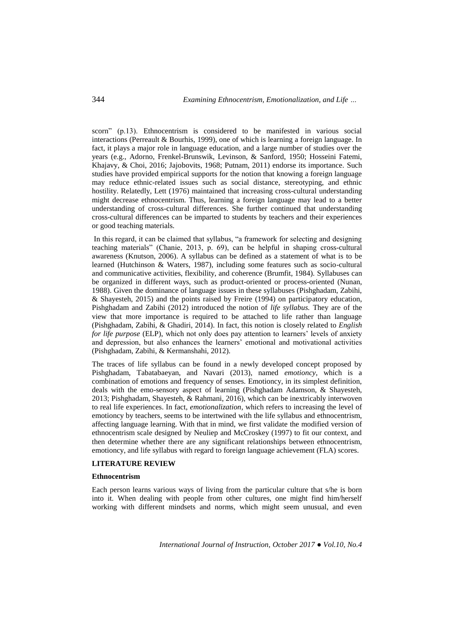scorn" (p.13). Ethnocentrism is considered to be manifested in various social interactions (Perreault & Bourhis, 1999), one of which is learning a foreign language. In fact, it plays a major role in language education, and a large number of studies over the years (e.g., Adorno, Frenkel-Brunswik, Levinson, & Sanford, 1950; Hosseini Fatemi, Khajavy, & Choi, 2016; Jajobovits, 1968; Putnam, 2011) endorse its importance. Such studies have provided empirical supports for the notion that knowing a foreign language may reduce ethnic-related issues such as social distance, stereotyping, and ethnic hostility. Relatedly, Lett (1976) maintained that increasing cross-cultural understanding might decrease ethnocentrism. Thus, learning a foreign language may lead to a better understanding of cross-cultural differences. She further continued that understanding cross-cultural differences can be imparted to students by teachers and their experiences or good teaching materials.

In this regard, it can be claimed that syllabus, "a framework for selecting and designing teaching materials" (Chanie, 2013, p. 69), can be helpful in shaping cross-cultural awareness (Knutson, 2006). A syllabus can be defined as a statement of what is to be learned (Hutchinson & Waters, 1987), including some features such as socio-cultural and communicative activities, flexibility, and coherence (Brumfit, 1984). Syllabuses can be organized in different ways, such as product-oriented or process-oriented (Nunan, 1988). Given the dominance of language issues in these syllabuses (Pishghadam, Zabihi, & Shayesteh, 2015) and the points raised by Freire (1994) on participatory education, Pishghadam and Zabihi (2012) introduced the notion of *life syllabus.* They are of the view that more importance is required to be attached to life rather than language (Pishghadam, Zabihi, & Ghadiri, 2014). In fact, this notion is closely related to *English for life purpose* (ELP), which not only does pay attention to learners' levels of anxiety and depression, but also enhances the learners' emotional and motivational activities (Pishghadam, Zabihi, & Kermanshahi, 2012).

The traces of life syllabus can be found in a newly developed concept proposed by Pishghadam, Tabatabaeyan, and Navari (2013), named *emotioncy*, which is a combination of emotions and frequency of senses. Emotioncy, in its simplest definition, deals with the emo-sensory aspect of learning (Pishghadam Adamson, & Shayesteh, 2013; Pishghadam, Shayesteh, & Rahmani, 2016), which can be inextricably interwoven to real life experiences. In fact, *emotionalization*, which refers to increasing the level of emotioncy by teachers, seems to be intertwined with the life syllabus and ethnocentrism, affecting language learning. With that in mind, we first validate the modified version of ethnocentrism scale designed by Neuliep and McCroskey (1997) to fit our context, and then determine whether there are any significant relationships between ethnocentrism, emotioncy, and life syllabus with regard to foreign language achievement (FLA) scores.

### **LITERATURE REVIEW**

#### **Ethnocentrism**

Each person learns various ways of living from the particular culture that s/he is born into it. When dealing with people from other cultures, one might find him/herself working with different mindsets and norms, which might seem unusual, and even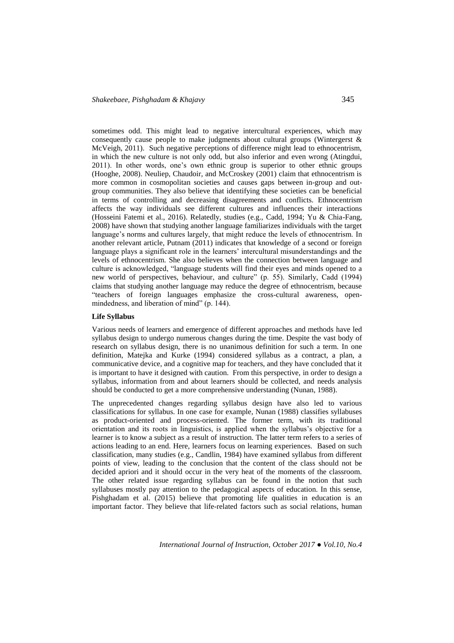sometimes odd. This might lead to negative intercultural experiences, which may consequently cause people to make judgments about cultural groups (Wintergerst  $\&$ McVeigh, 2011). Such negative perceptions of difference might lead to ethnocentrism, in which the new culture is not only odd, but also inferior and even wrong (Atingdui, 2011). In other words, one's own ethnic group is superior to other ethnic groups (Hooghe, 2008). Neuliep, Chaudoir, and McCroskey (2001) claim that ethnocentrism is more common in cosmopolitan societies and causes gaps between in-group and outgroup communities. They also believe that identifying these societies can be beneficial in terms of controlling and decreasing disagreements and conflicts. Ethnocentrism affects the way individuals see different cultures and influences their interactions (Hosseini Fatemi et al., 2016). Relatedly, studies (e.g., Cadd, 1994; Yu & Chia-Fang, 2008) have shown that studying another language familiarizes individuals with the target language's norms and cultures largely, that might reduce the levels of ethnocentrism. In another relevant article, Putnam (2011) indicates that knowledge of a second or foreign language plays a significant role in the learners' intercultural misunderstandings and the levels of ethnocentrism. She also believes when the connection between language and culture is acknowledged, "language students will find their eyes and minds opened to a new world of perspectives, behaviour, and culture" (p. 55). Similarly, Cadd (1994) claims that studying another language may reduce the degree of ethnocentrism, because "teachers of foreign languages emphasize the cross-cultural awareness, openmindedness, and liberation of mind" (p. 144).

#### **Life Syllabus**

Various needs of learners and emergence of different approaches and methods have led syllabus design to undergo numerous changes during the time. Despite the vast body of research on syllabus design, there is no unanimous definition for such a term. In one definition, Matejka and Kurke (1994) considered syllabus as a contract, a plan, a communicative device, and a cognitive map for teachers, and they have concluded that it is important to have it designed with caution. From this perspective, in order to design a syllabus, information from and about learners should be collected, and needs analysis should be conducted to get a more comprehensive understanding (Nunan, 1988).

The unprecedented changes regarding syllabus design have also led to various classifications for syllabus. In one case for example, Nunan (1988) classifies syllabuses as product-oriented and process-oriented. The former term, with its traditional orientation and its roots in linguistics, is applied when the syllabus's objective for a learner is to know a subject as a result of instruction. The latter term refers to a series of actions leading to an end. Here, learners focus on learning experiences. Based on such classification, many studies (e.g., Candlin, 1984) have examined syllabus from different points of view, leading to the conclusion that the content of the class should not be decided apriori and it should occur in the very heat of the moments of the classroom. The other related issue regarding syllabus can be found in the notion that such syllabuses mostly pay attention to the pedagogical aspects of education. In this sense, Pishghadam et al. (2015) believe that promoting life qualities in education is an important factor. They believe that life-related factors such as social relations, human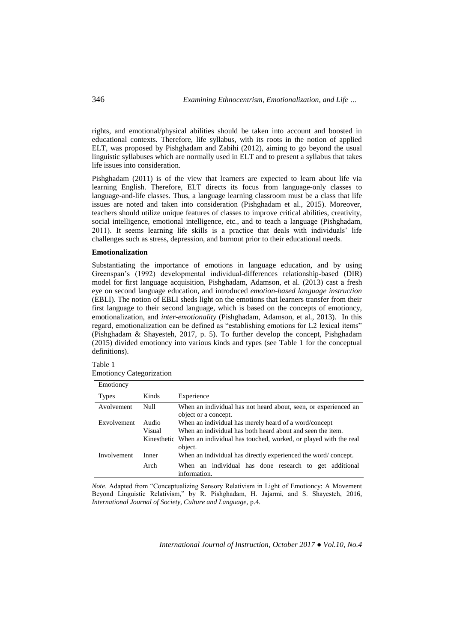rights, and emotional/physical abilities should be taken into account and boosted in educational contexts. Therefore, life syllabus, with its roots in the notion of applied ELT, was proposed by Pishghadam and Zabihi (2012), aiming to go beyond the usual linguistic syllabuses which are normally used in ELT and to present a syllabus that takes life issues into consideration.

Pishghadam (2011) is of the view that learners are expected to learn about life via learning English. Therefore, ELT directs its focus from language-only classes to language-and-life classes. Thus, a language learning classroom must be a class that life issues are noted and taken into consideration (Pishghadam et al., 2015). Moreover, teachers should utilize unique features of classes to improve critical abilities, creativity, social intelligence, emotional intelligence, etc., and to teach a language (Pishghadam, 2011). It seems learning life skills is a practice that deals with individuals' life challenges such as stress, depression, and burnout prior to their educational needs.

#### **Emotionalization**

Substantiating the importance of emotions in language education, and by using Greenspan's (1992) developmental individual-differences relationship-based (DIR) model for first language acquisition, Pishghadam, Adamson, et al. (2013) cast a fresh eye on second language education, and introduced *emotion-based language instruction* (EBLI). The notion of EBLI sheds light on the emotions that learners transfer from their first language to their second language, which is based on the concepts of emotioncy, emotionalization, and *inter-emotionality* (Pishghadam, Adamson, et al., 2013). In this regard, emotionalization can be defined as "establishing emotions for L2 lexical items" (Pishghadam & Shayesteh, 2017, p. 5). To further develop the concept, Pishghadam (2015) divided emotioncy into various kinds and types (see Table 1 for the conceptual definitions).

# Table 1

| Emotioncy    |                 |                                                                                                                                                                                                    |  |  |  |  |
|--------------|-----------------|----------------------------------------------------------------------------------------------------------------------------------------------------------------------------------------------------|--|--|--|--|
| <b>Types</b> | Kinds           | Experience                                                                                                                                                                                         |  |  |  |  |
| Avolvement   | Null            | When an individual has not heard about, seen, or experienced an<br>object or a concept.                                                                                                            |  |  |  |  |
| Exvolvement  | Audio<br>Visual | When an individual has merely heard of a word/concept<br>When an individual has both heard about and seen the item.<br>Kinesthetic When an individual has touched, worked, or played with the real |  |  |  |  |
| Involvement  | Inner           | object.<br>When an individual has directly experienced the word/concept.                                                                                                                           |  |  |  |  |
|              | Arch            | When an individual has done research to get additional<br>information.                                                                                                                             |  |  |  |  |

*Note*. Adapted from "Conceptualizing Sensory Relativism in Light of Emotioncy: A Movement Beyond Linguistic Relativism," by R. Pishghadam, H. Jajarmi, and S. Shayesteh, 2016, *International Journal of Society, Culture and Language,* p.4.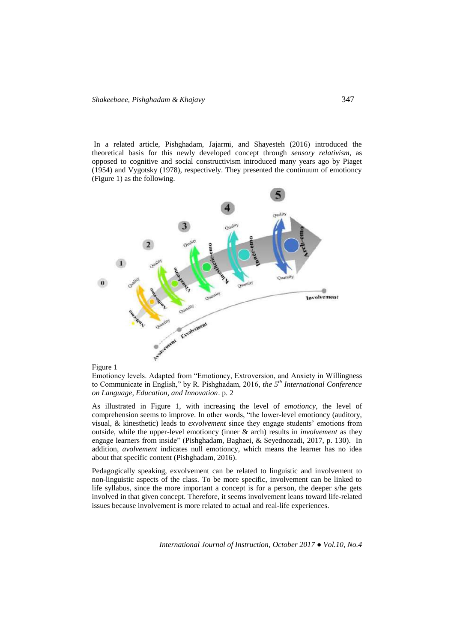In a related article, Pishghadam, Jajarmi, and Shayesteh (2016) introduced the theoretical basis for this newly developed concept through *sensory relativism*, as opposed to cognitive and social constructivism introduced many years ago by Piaget (1954) and Vygotsky (1978), respectively. They presented the continuum of emotioncy (Figure 1) as the following.



## Figure 1

Emotioncy levels. Adapted from "Emotioncy, Extroversion, and Anxiety in Willingness to Communicate in English," by R. Pishghadam, 2016, *the 5th International Conference on Language, Education, and Innovation*. p. 2

As illustrated in Figure 1, with increasing the level of *emotioncy*, the level of comprehension seems to improve. In other words, "the lower-level emotioncy (auditory, visual, & kinesthetic) leads to *exvolvement* since they engage students' emotions from outside, while the upper-level emotioncy (inner & arch) results in *involvement* as they engage learners from inside" (Pishghadam, Baghaei, & Seyednozadi, 2017, p. 130). In addition, *avolvement* indicates null emotioncy, which means the learner has no idea about that specific content (Pishghadam, 2016).

Pedagogically speaking, exvolvement can be related to linguistic and involvement to non-linguistic aspects of the class. To be more specific, involvement can be linked to life syllabus, since the more important a concept is for a person, the deeper s/he gets involved in that given concept. Therefore, it seems involvement leans toward life-related issues because involvement is more related to actual and real-life experiences.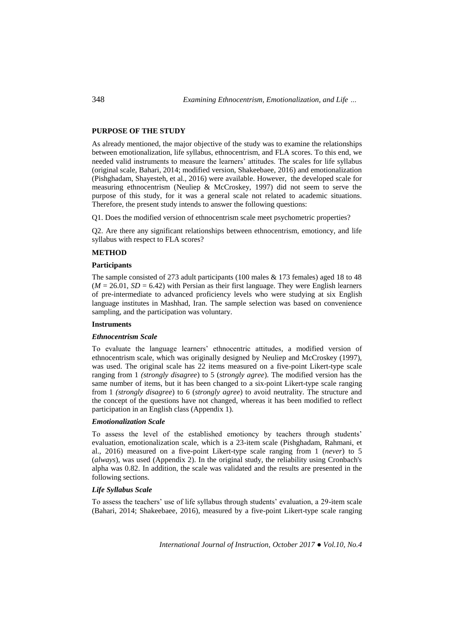## **PURPOSE OF THE STUDY**

As already mentioned, the major objective of the study was to examine the relationships between emotionalization, life syllabus, ethnocentrism, and FLA scores. To this end, we needed valid instruments to measure the learners' attitudes. The scales for life syllabus (original scale, Bahari, 2014; modified version, Shakeebaee, 2016) and emotionalization (Pishghadam, Shayesteh, et al., 2016) were available. However, the developed scale for measuring ethnocentrism (Neuliep & McCroskey, 1997) did not seem to serve the purpose of this study, for it was a general scale not related to academic situations. Therefore, the present study intends to answer the following questions:

Q1. Does the modified version of ethnocentrism scale meet psychometric properties?

Q2. Are there any significant relationships between ethnocentrism, emotioncy, and life syllabus with respect to FLA scores?

### **METHOD**

#### **Participants**

The sample consisted of 273 adult participants (100 males & 173 females) aged 18 to 48  $(M = 26.01, SD = 6.42)$  with Persian as their first language. They were English learners of pre-intermediate to advanced proficiency levels who were studying at six English language institutes in Mashhad, Iran. The sample selection was based on convenience sampling, and the participation was voluntary.

### **Instruments**

#### *Ethnocentrism Scale*

To evaluate the language learners' ethnocentric attitudes, a modified version of ethnocentrism scale, which was originally designed by Neuliep and McCroskey (1997), was used. The original scale has 22 items measured on a five-point Likert-type scale ranging from 1 *(strongly disagree*) to 5 (*strongly agree*). The modified version has the same number of items, but it has been changed to a six-point Likert-type scale ranging from 1 *(strongly disagree*) to 6 (*strongly agree*) to avoid neutrality. The structure and the concept of the questions have not changed, whereas it has been modified to reflect participation in an English class (Appendix 1).

#### *Emotionalization Scale*

To assess the level of the established emotioncy by teachers through students' evaluation, emotionalization scale, which is a 23-item scale (Pishghadam, Rahmani, et al., 2016) measured on a five-point Likert-type scale ranging from 1 (*never*) to 5 (*always*), was used (Appendix 2). In the original study, the reliability using Cronbach's alpha was 0.82. In addition, the scale was validated and the results are presented in the following sections.

#### *Life Syllabus Scale*

To assess the teachers' use of life syllabus through students' evaluation, a 29-item scale (Bahari, 2014; Shakeebaee, 2016), measured by a five-point Likert-type scale ranging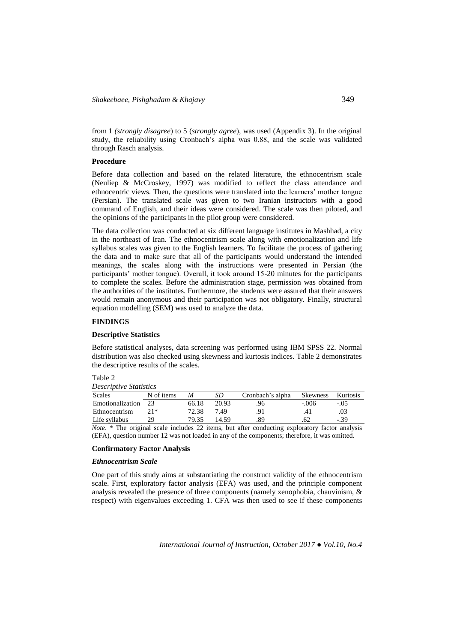from 1 *(strongly disagree*) to 5 (*strongly agree*), was used (Appendix 3). In the original study, the reliability using Cronbach's alpha was 0.88, and the scale was validated through Rasch analysis.

## **Procedure**

Before data collection and based on the related literature, the ethnocentrism scale (Neuliep & McCroskey, 1997) was modified to reflect the class attendance and ethnocentric views. Then, the questions were translated into the learners' mother tongue (Persian). The translated scale was given to two Iranian instructors with a good command of English, and their ideas were considered. The scale was then piloted, and the opinions of the participants in the pilot group were considered.

The data collection was conducted at six different language institutes in Mashhad, a city in the northeast of Iran. The ethnocentrism scale along with emotionalization and life syllabus scales was given to the English learners. To facilitate the process of gathering the data and to make sure that all of the participants would understand the intended meanings, the scales along with the instructions were presented in Persian (the participants' mother tongue). Overall, it took around 15-20 minutes for the participants to complete the scales. Before the administration stage, permission was obtained from the authorities of the institutes. Furthermore, the students were assured that their answers would remain anonymous and their participation was not obligatory. Finally, structural equation modelling (SEM) was used to analyze the data.

# **FINDINGS**

### **Descriptive Statistics**

Before statistical analyses, data screening was performed using IBM SPSS 22. Normal distribution was also checked using skewness and kurtosis indices. Table 2 demonstrates the descriptive results of the scales.

| `able |  |
|-------|--|
|-------|--|

| Descriptive Statistics |            |       |       |                  |                 |          |  |  |  |
|------------------------|------------|-------|-------|------------------|-----------------|----------|--|--|--|
| Scales                 | N of items | M     | SD    | Cronbach's alpha | <b>Skewness</b> | Kurtosis |  |  |  |
| Emotionalization       | 23         | 66.18 | 20.93 | .96              | $-006$          | $-.05$   |  |  |  |
| Ethnocentrism          | $21*$      | 72.38 | 7.49  | .91              | 41              | .03      |  |  |  |
| Life syllabus          | 29         | 79.35 | 14.59 | .89              | .62             | - 39     |  |  |  |

*Note*. \* The original scale includes 22 items, but after conducting exploratory factor analysis (EFA), question number 12 was not loaded in any of the components; therefore, it was omitted.

## **Confirmatory Factor Analysis**

#### *Ethnocentrism Scale*

One part of this study aims at substantiating the construct validity of the ethnocentrism scale. First, exploratory factor analysis (EFA) was used, and the principle component analysis revealed the presence of three components (namely xenophobia, chauvinism, & respect) with eigenvalues exceeding 1. CFA was then used to see if these components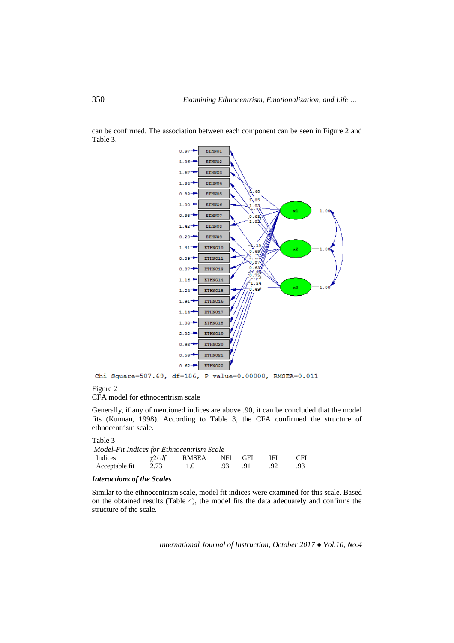

can be confirmed. The association between each component can be seen in Figure 2 and Table 3.

 $Chi-Square=507.69$ ,  $df=186$ ,  $P-value=0.00000$ ,  $RMSEA=0.011$ 

### Figure 2

CFA model for ethnocentrism scale

Generally, if any of mentioned indices are above .90, it can be concluded that the model fits (Kunnan, 1998). According to Table 3, the CFA confirmed the structure of ethnocentrism scale.

Table 3

| Model-Fit Indices for Ethnocentrism Scale |             |       |     |     |       |     |  |  |
|-------------------------------------------|-------------|-------|-----|-----|-------|-----|--|--|
| Indices                                   | $\chi$ 2/df | RMSEA | NFL | GFI | - IEI | CFI |  |  |
| Acceptable fit                            | 2.73        | 1.0   |     |     |       |     |  |  |

## *Interactions of the Scales*

Similar to the ethnocentrism scale, model fit indices were examined for this scale. Based on the obtained results (Table 4), the model fits the data adequately and confirms the structure of the scale.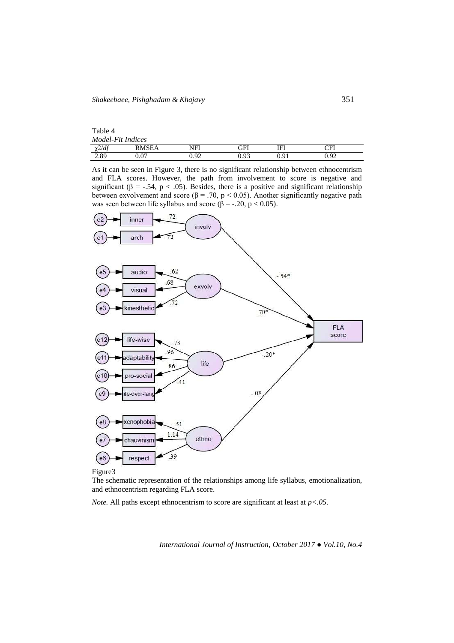Table 4

| Model-Fit Indices  |       |          |          |             |          |  |  |
|--------------------|-------|----------|----------|-------------|----------|--|--|
| $\gamma$ 2/df      | 'MSFA |          | GFI      | וכו<br>11 1 | וחי      |  |  |
| າ ວດ<br>$\sim$ . O | 0.07  | $\Omega$ | $\Omega$ |             | $\alpha$ |  |  |

As it can be seen in Figure 3, there is no significant relationship between ethnocentrism and FLA scores. However, the path from involvement to score is negative and significant ( $\beta$  = -.54, p < .05). Besides, there is a positive and significant relationship between exvolvement and score ( $\beta$  = .70, p < 0.05). Another significantly negative path was seen between life syllabus and score ( $\beta$  = -.20, p < 0.05).



Figure3

The schematic representation of the relationships among life syllabus, emotionalization, and ethnocentrism regarding FLA score.

*Note.* All paths except ethnocentrism to score are significant at least at *p<.05.*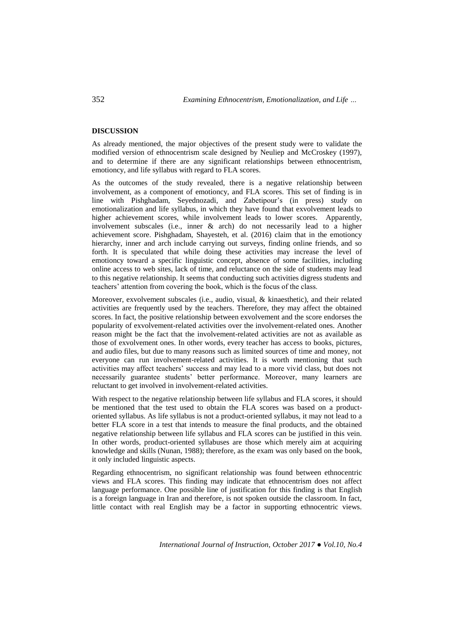## **DISCUSSION**

As already mentioned, the major objectives of the present study were to validate the modified version of ethnocentrism scale designed by Neuliep and McCroskey (1997), and to determine if there are any significant relationships between ethnocentrism, emotioncy, and life syllabus with regard to FLA scores.

As the outcomes of the study revealed, there is a negative relationship between involvement, as a component of emotioncy, and FLA scores. This set of finding is in line with Pishghadam, Seyednozadi, and Zabetipour's (in press) study on emotionalization and life syllabus, in which they have found that exvolvement leads to higher achievement scores, while involvement leads to lower scores. Apparently, involvement subscales (i.e., inner & arch) do not necessarily lead to a higher achievement score. Pishghadam, Shayesteh, et al. (2016) claim that in the emotioncy hierarchy, inner and arch include carrying out surveys, finding online friends, and so forth. It is speculated that while doing these activities may increase the level of emotioncy toward a specific linguistic concept, absence of some facilities, including online access to web sites, lack of time, and reluctance on the side of students may lead to this negative relationship. It seems that conducting such activities digress students and teachers' attention from covering the book, which is the focus of the class.

Moreover, exvolvement subscales (i.e., audio, visual, & kinaesthetic), and their related activities are frequently used by the teachers. Therefore, they may affect the obtained scores. In fact, the positive relationship between exvolvement and the score endorses the popularity of exvolvement-related activities over the involvement-related ones. Another reason might be the fact that the involvement-related activities are not as available as those of exvolvement ones. In other words, every teacher has access to books, pictures, and audio files, but due to many reasons such as limited sources of time and money, not everyone can run involvement-related activities. It is worth mentioning that such activities may affect teachers' success and may lead to a more vivid class, but does not necessarily guarantee students' better performance. Moreover, many learners are reluctant to get involved in involvement-related activities.

With respect to the negative relationship between life syllabus and FLA scores, it should be mentioned that the test used to obtain the FLA scores was based on a productoriented syllabus. As life syllabus is not a product-oriented syllabus, it may not lead to a better FLA score in a test that intends to measure the final products, and the obtained negative relationship between life syllabus and FLA scores can be justified in this vein. In other words, product-oriented syllabuses are those which merely aim at acquiring knowledge and skills (Nunan, 1988); therefore, as the exam was only based on the book, it only included linguistic aspects.

Regarding ethnocentrism, no significant relationship was found between ethnocentric views and FLA scores. This finding may indicate that ethnocentrism does not affect language performance. One possible line of justification for this finding is that English is a foreign language in Iran and therefore, is not spoken outside the classroom. In fact, little contact with real English may be a factor in supporting ethnocentric views.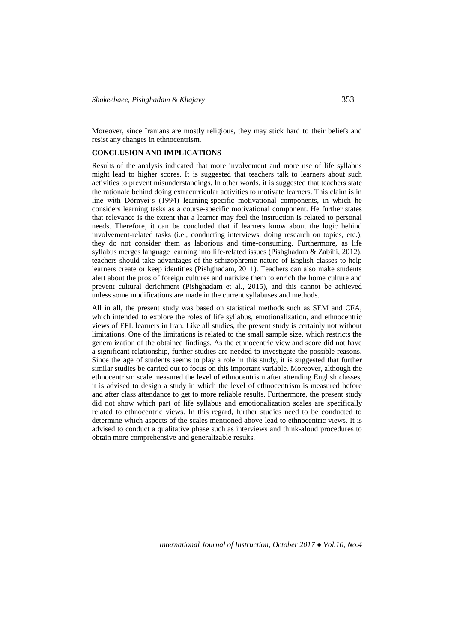Moreover, since Iranians are mostly religious, they may stick hard to their beliefs and resist any changes in ethnocentrism.

## **CONCLUSION AND IMPLICATIONS**

Results of the analysis indicated that more involvement and more use of life syllabus might lead to higher scores. It is suggested that teachers talk to learners about such activities to prevent misunderstandings. In other words, it is suggested that teachers state the rationale behind doing extracurricular activities to motivate learners. This claim is in line with Dörnyei's (1994) learning-specific motivational components, in which he considers learning tasks as a course-specific motivational component. He further states that relevance is the extent that a learner may feel the instruction is related to personal needs. Therefore, it can be concluded that if learners know about the logic behind involvement-related tasks (i.e., conducting interviews, doing research on topics, etc.), they do not consider them as laborious and time-consuming. Furthermore, as life syllabus merges language learning into life-related issues (Pishghadam & Zabihi, 2012), teachers should take advantages of the schizophrenic nature of English classes to help learners create or keep identities (Pishghadam, 2011). Teachers can also make students alert about the pros of foreign cultures and nativize them to enrich the home culture and prevent cultural derichment (Pishghadam et al., 2015), and this cannot be achieved unless some modifications are made in the current syllabuses and methods.

All in all, the present study was based on statistical methods such as SEM and CFA, which intended to explore the roles of life syllabus, emotionalization, and ethnocentric views of EFL learners in Iran. Like all studies, the present study is certainly not without limitations. One of the limitations is related to the small sample size, which restricts the generalization of the obtained findings. As the ethnocentric view and score did not have a significant relationship, further studies are needed to investigate the possible reasons. Since the age of students seems to play a role in this study, it is suggested that further similar studies be carried out to focus on this important variable. Moreover, although the ethnocentrism scale measured the level of ethnocentrism after attending English classes, it is advised to design a study in which the level of ethnocentrism is measured before and after class attendance to get to more reliable results. Furthermore, the present study did not show which part of life syllabus and emotionalization scales are specifically related to ethnocentric views. In this regard, further studies need to be conducted to determine which aspects of the scales mentioned above lead to ethnocentric views. It is advised to conduct a qualitative phase such as interviews and think-aloud procedures to obtain more comprehensive and generalizable results.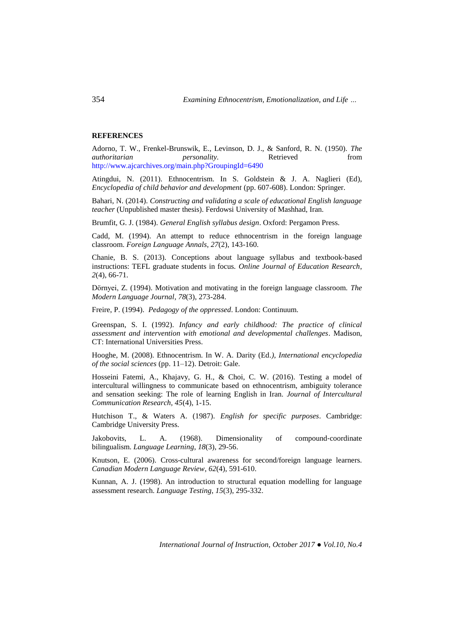### **REFERENCES**

Adorno, T. W., Frenkel-Brunswik, E., Levinson, D. J., & Sanford, R. N. (1950). *The authoritarian personality*. Retrieved **from** <http://www.ajcarchives.org/main.php?GroupingId=6490>

Atingdui, N. (2011). Ethnocentrism. In S. Goldstein & J. A. Naglieri (Ed), *Encyclopedia of child behavior and development* (pp. 607-608). London: Springer.

Bahari, N. (2014). *Constructing and validating a scale of educational English language teacher* (Unpublished master thesis). Ferdowsi University of Mashhad, Iran.

Brumfit, G. J. (1984). *General English syllabus design*. Oxford: Pergamon Press.

Cadd, M. (1994). An attempt to reduce ethnocentrism in the foreign language classroom. *Foreign Language Annals*, *27*(2), 143-160.

Chanie, B. S. (2013). Conceptions about language syllabus and textbook-based instructions: TEFL graduate students in focus. *Online Journal of Education Research*, *2*(4), 66-71.

Dörnyei, Z. (1994). Motivation and motivating in the foreign language classroom. *The Modern Language Journal*, *78*(3), 273-284.

Freire, P. (1994). *Pedagogy of the oppressed*. London: Continuum.

Greenspan, S. I. (1992). *Infancy and early childhood: The practice of clinical assessment and intervention with emotional and developmental challenges*. Madison, CT: International Universities Press.

Hooghe, M. (2008). Ethnocentrism. In W. A. Darity (Ed*.), International encyclopedia of the social sciences* (pp. 11–12). Detroit: Gale.

Hosseini Fatemi, A., Khajavy, G. H., & Choi, C. W. (2016). Testing a model of intercultural willingness to communicate based on ethnocentrism, ambiguity tolerance and sensation seeking: The role of learning English in Iran. *Journal of Intercultural Communication Research, 45*(4), 1-15.

Hutchison T., & Waters A. (1987). *English for specific purposes*. Cambridge: Cambridge University Press.

Jakobovits, L. A. (1968). Dimensionality of compound-coordinate bilingualism. *Language Learning*, *18*(3), 29-56.

Knutson, E. (2006). Cross-cultural awareness for second/foreign language learners. *Canadian Modern Language Review*, *62*(4), 591-610.

Kunnan, A. J. (1998). An introduction to structural equation modelling for language assessment research. *Language Testing*, *15*(3), 295-332.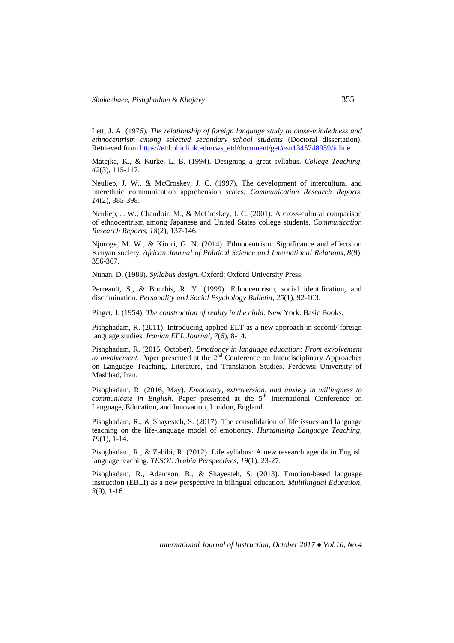Lett, J. A. (1976). *The relationship of foreign language study to close-mindedness and ethnocentrism among selected secondary school students* (Doctoral dissertation). Retrieved fro[m https://etd.ohiolink.edu/rws\\_etd/document/get/osu1345748959/inline](https://etd.ohiolink.edu/rws_etd/document/get/osu1345748959/inline)

Matejka, K., & Kurke, L. B. (1994). Designing a great syllabus. *College Teaching*, *42*(3), 115-117.

Neuliep, J. W., & McCroskey, J. C. (1997). The development of intercultural and interethnic communication apprehension scales. *Communication Research Reports, 14*(2), 385-398.

Neuliep, J. W., Chaudoir, M., & McCroskey, J. C. (2001). A cross-cultural comparison of ethnocentrism among Japanese and United States college students. *Communication Research Reports, 18*(2), 137-146.

Njoroge, M. W., & Kirori, G. N. (2014). Ethnocentrism: Significance and effects on Kenyan society. *African Journal of Political Science and International Relations*, *8*(9), 356-367.

Nunan, D. (1988). *Syllabus design.* Oxford: Oxford University Press.

Perreault, S., & Bourhis, R. Y. (1999). Ethnocentrism, social identification, and discrimination. *Personality and Social Psychology Bulletin*, *25*(1), 92-103.

Piaget, J. (1954). *The construction of reality in the child.* New York: Basic Books.

Pishghadam, R. (2011). Introducing applied ELT as a new approach in second/ foreign language studies. *Iranian EFL Journal, 7*(6), 8-14.

Pishghadam, R. (2015, October). *Emotioncy in language education: From exvolvement to involvement.* Paper presented at the 2<sup>nd</sup> Conference on Interdisciplinary Approaches on Language Teaching, Literature, and Translation Studies. Ferdowsi University of Mashhad, Iran.

Pishghadam, R. (2016, May). *Emotioncy, extroversion, and anxiety in willingness to communicate in English*. Paper presented at the 5<sup>th</sup> International Conference on Language, Education, and Innovation, London, England.

Pishghadam, R., & Shayesteh, S. (2017). The consolidation of life issues and language teaching on the life-language model of emotioncy. *Humanising Language Teaching*, *19*(1), 1-14.

Pishghadam, R., & Zabihi, R. (2012). Life syllabus: A new research agenda in English language teaching. *TESOL Arabia Perspectives*, *19*(1), 23-27.

Pishghadam, R., Adamson, B., & Shayesteh, S. (2013). Emotion-based language instruction (EBLI) as a new perspective in bilingual education. *Multilingual Education, 3*(9), 1-16.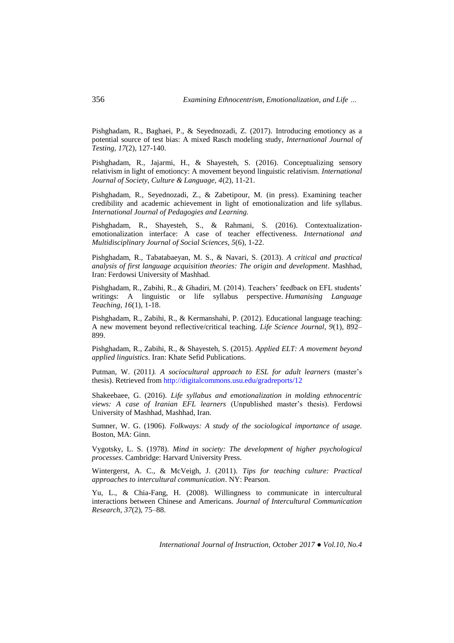Pishghadam, R., Baghaei, P., & Seyednozadi, Z. (2017). [Introducing emotioncy as a](http://profdoc.um.ac.ir/paper-abstract-1056300.html)  [potential source of test bias: A mixed Rasch modeling study,](http://profdoc.um.ac.ir/paper-abstract-1056300.html) *International Journal of Testing, 17*(2), 127-140.

Pishghadam, R., Jajarmi, H., & Shayesteh, S. (2016). Conceptualizing sensory relativism in light of emotioncy: A movement beyond linguistic relativism. *International Journal of Society, Culture & Language, 4*(2), 11-21.

Pishghadam, R., Seyednozadi, Z., & Zabetipour, M. (in press). Examining teacher credibility and academic achievement in light of emotionalization and life syllabus. *International Journal of Pedagogies and Learning.*

Pishghadam, R., Shayesteh, S., & Rahmani, S. (2016). Contextualizationemotionalization interface: A case of teacher effectiveness. *International and Multidisciplinary Journal of Social Sciences, 5*(6), 1-22.

Pishghadam, R., Tabatabaeyan, M. S., & Navari, S. (2013). *A critical and practical analysis of first language acquisition theories: The origin and development*. Mashhad, Iran: Ferdowsi University of Mashhad.

Pishghadam, R., Zabihi, R., & Ghadiri, M. (2014). Teachers' feedback on EFL students' writings: A linguistic or life syllabus perspective. *Humanising Language Teaching*, *16*(1), 1-18.

Pishghadam, R., Zabihi, R., & Kermanshahi, P. (2012). Educational language teaching: A new movement beyond reflective/critical teaching. *Life Science Journal, 9*(1), 892– 899.

Pishghadam, R., Zabihi, R., & Shayesteh, S. (2015). *Applied ELT: A movement beyond applied linguistics*. Iran: Khate Sefid Publications.

Putman, W. (2011*). A sociocultural approach to ESL for adult learners* (master's thesis). Retrieved fro[m http://digitalcommons.usu.edu/gradreports/12](http://digitalcommons.usu.edu/gradreports/12)

Shakeebaee, G. (2016). *Life syllabus and emotionalization in molding ethnocentric views: A case of Iranian EFL learners* (Unpublished master's thesis). Ferdowsi University of Mashhad, Mashhad, Iran.

Sumner, W. G. (1906). *Folkways: A study of the sociological importance of usage.*  Boston, MA: Ginn.

Vygotsky, L. S. (1978). *Mind in society: The development of higher psychological processes*. Cambridge: Harvard University Press.

Wintergerst, A. C., & McVeigh, J. (2011). *Tips for teaching culture: Practical approaches to intercultural communication*. NY: Pearson.

Yu, L., & Chia-Fang, H. (2008). Willingness to communicate in intercultural interactions between Chinese and Americans. *Journal of Intercultural Communication Research, 37*(2), 75–88.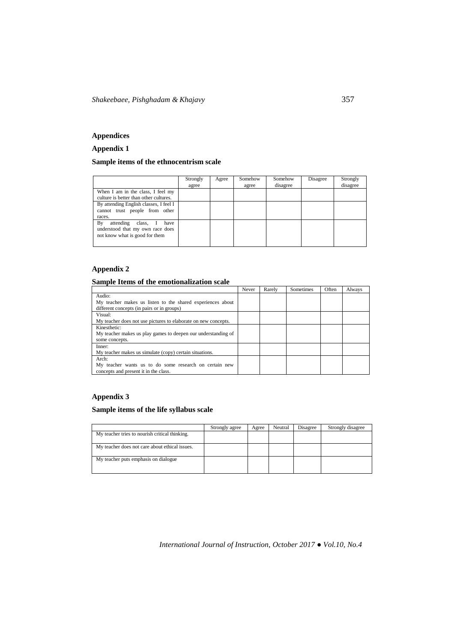# *Shakeebaee, Pishghadam & Khajavy* 357

# **Appendices**

**Appendix 1**

# **Sample items of the ethnocentrism scale**

|                                                                                                         | Strongly<br>agree | Agree | Somehow<br>agree | Somehow<br>disagree | Disagree | Strongly<br>disagree |
|---------------------------------------------------------------------------------------------------------|-------------------|-------|------------------|---------------------|----------|----------------------|
| When I am in the class, I feel my<br>culture is better than other cultures.                             |                   |       |                  |                     |          |                      |
| By attending English classes, I feel I<br>cannot trust people from other<br>races.                      |                   |       |                  |                     |          |                      |
| By<br>attending<br>class,<br>have<br>understood that my own race does<br>not know what is good for them |                   |       |                  |                     |          |                      |

# **Appendix 2**

# **Sample Items of the emotionalization scale**

|                                                                | Never | Rarely | Sometimes | Often | Always |
|----------------------------------------------------------------|-------|--------|-----------|-------|--------|
| Audio:                                                         |       |        |           |       |        |
| My teacher makes us listen to the shared experiences about     |       |        |           |       |        |
| different concepts (in pairs or in groups)                     |       |        |           |       |        |
| Visual:                                                        |       |        |           |       |        |
| My teacher does not use pictures to elaborate on new concepts. |       |        |           |       |        |
| Kinesthetic:                                                   |       |        |           |       |        |
| My teacher makes us play games to deepen our understanding of  |       |        |           |       |        |
| some concepts.                                                 |       |        |           |       |        |
| Inner:                                                         |       |        |           |       |        |
| My teacher makes us simulate (copy) certain situations.        |       |        |           |       |        |
| Arch:                                                          |       |        |           |       |        |
| My teacher wants us to do some research on certain new         |       |        |           |       |        |
| concepts and present it in the class.                          |       |        |           |       |        |

# **Appendix 3**

# **Sample items of the life syllabus scale**

|                                                | Strongly agree | Agree | Neutral | Disagree | Strongly disagree |
|------------------------------------------------|----------------|-------|---------|----------|-------------------|
| My teacher tries to nourish critical thinking. |                |       |         |          |                   |
| My teacher does not care about ethical issues. |                |       |         |          |                   |
| My teacher puts emphasis on dialogue           |                |       |         |          |                   |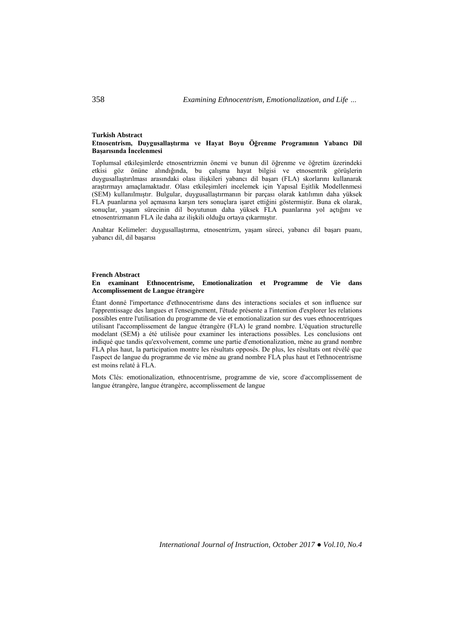#### **Turkish Abstract Etnosentrism, Duygusallaştırma ve Hayat Boyu Öğrenme Programının Yabancı Dil Başarısında İncelenmesi**

Toplumsal etkileşimlerde etnosentrizmin önemi ve bunun dil öğrenme ve öğretim üzerindeki etkisi göz önüne alındığında, bu çalışma hayat bilgisi ve etnosentrik görüşlerin duygusallaştırılması arasındaki olası ilişkileri yabancı dil başarı (FLA) skorlarını kullanarak araştırmayı amaçlamaktadır. Olası etkileşimleri incelemek için Yapısal Eşitlik Modellenmesi (SEM) kullanılmıştır. Bulgular, duygusallaştırmanın bir parçası olarak katılımın daha yüksek FLA puanlarına yol açmasına karşın ters sonuçlara işaret ettiğini göstermiştir. Buna ek olarak, sonuçlar, yaşam sürecinin dil boyutunun daha yüksek FLA puanlarına yol açtığını ve etnosentrizmanın FLA ile daha az ilişkili olduğu ortaya çıkarmıştır.

Anahtar Kelimeler: duygusallaştırma, etnosentrizm, yaşam süreci, yabancı dil başarı puanı, yabancı dil, dil başarısı

#### **French Abstract En examinant Ethnocentrisme, Emotionalization et Programme de Vie dans Accomplissement de Langue étrangère**

Étant donné l'importance d'ethnocentrisme dans des interactions sociales et son influence sur l'apprentissage des langues et l'enseignement, l'étude présente a l'intention d'explorer les relations possibles entre l'utilisation du programme de vie et emotionalization sur des vues ethnocentriques utilisant l'accomplissement de langue étrangère (FLA) le grand nombre. L'équation structurelle modelant (SEM) a été utilisée pour examiner les interactions possibles. Les conclusions ont indiqué que tandis qu'exvolvement, comme une partie d'emotionalization, mène au grand nombre FLA plus haut, la participation montre les résultats opposés. De plus, les résultats ont révélé que l'aspect de langue du programme de vie mène au grand nombre FLA plus haut et l'ethnocentrisme est moins relaté à FLA.

Mots Clés: emotionalization, ethnocentrisme, programme de vie, score d'accomplissement de langue étrangère, langue étrangère, accomplissement de langue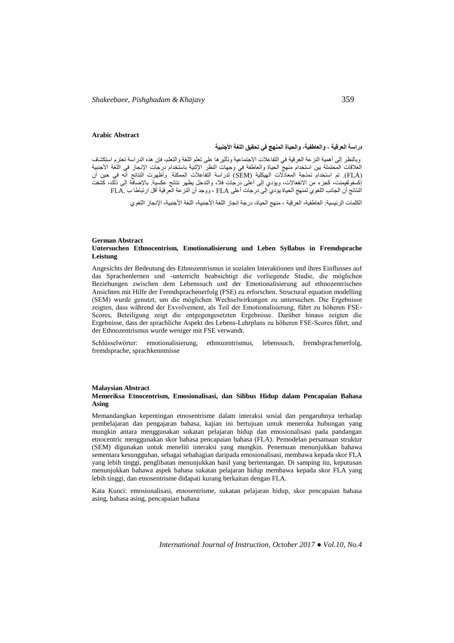#### **Arabic Abstract**

# **دراسة العرقية ، والعاطفية، والحياة المنهج في تحقيق اللغة األجنبية**

وبالنظر إلى أهمية النزعة العرقية في التفاعالت االجتماعية وتأثيرها على تعلم اللغة والتعلم، فإن هذه الدراسة تعتزم استكشاف العالقات المحتملة بين استخدام منهج الحياة والعاطفة في وجهات النظر اإلثنية باستخدام درجات اإلنجاز في اللغة األجنبية )FLA). تم استخدام نمذجة المعادالت الهيكلية )SEM )لدراسة التفاعالت الممكنة. وأظهرت النتائج أنه في حين أن إكسفولفيمنت، كجزء من االنفعاالت، ويؤدي إلى أعلى درجات فال، والتدخل يظهر نتائج عكسية. باإلضافة إلى ذلك، كشفت النتائج أن الجانب اللغوي لمنهج الحياة يؤدي إلى درجات أعلى FLA ، ووجد أن النزعة العرقية أقل ارتباطا ب .FLA

الكلمات الرئيسية: العاطفية، العرقية ، منهج الحياة، درجة إنجاز اللغة األجنبية، اللغة األجنبية، اإلنجاز اللغوي

# **German Abstract**

### **Untersuchen Ethnocentrism, Emotionalisierung und Leben Syllabus in Fremdsprache Leistung**

Angesichts der Bedeutung des Ethnozentrismus in sozialen Interaktionen und ihres Einflusses auf das Sprachenlernen und -unterricht beabsichtigt die vorliegende Studie, die möglichen Beziehungen zwischen dem Lebenssuch und der Emotionalisierung auf ethnozentrischen Ansichten mit Hilfe der Fremdsprachenerfolg (FSE) zu erforschen. Structural equation modelling (SEM) wurde genutzt, um die möglichen Wechselwirkungen zu untersuchen. Die Ergebnisse zeigten, dass während der Exvolvement, als Teil der Emotionalisierung, führt zu höheren FSE-Scores, Beteiligung zeigt die entgegengesetzten Ergebnisse. Darüber hinaus zeigten die Ergebnisse, dass der sprachliche Aspekt des Lebens-Lehrplans zu höheren FSE-Scores führt, und der Ethnozentrismus wurde weniger mit FSE verwandt.

Schlüsselwörter: emotionalisierung, ethnozentrismus, lebenssuch, fremdsprachenerfolg, fremdsprache, sprachkenntnisse

#### **Malaysian Abstract Memeriksa Etnocentrism, Emosionalisasi, dan Silibus Hidup dalam Pencapaian Bahasa Asing**

Memandangkan kepentingan etnosentrisme dalam interaksi sosial dan pengaruhnya terhadap pembelajaran dan pengajaran bahasa, kajian ini bertujuan untuk meneroka hubungan yang mungkin antara menggunakan sukatan pelajaran hidup dan emosionalisasi pada pandangan etnocentric menggunakan skor bahasa pencapaian bahasa (FLA). Pemodelan persamaan struktur (SEM) digunakan untuk meneliti interaksi yang mungkin. Penemuan menunjukkan bahawa sementara kesungguhan, sebagai sebahagian daripada emosionalisasi, membawa kepada skor FLA yang lebih tinggi, penglibatan menunjukkan hasil yang bertentangan. Di samping itu, keputusan menunjukkan bahawa aspek bahasa sukatan pelajaran hidup membawa kepada skor FLA yang lebih tinggi, dan etnosentrisme didapati kurang berkaitan dengan FLA.

Kata Kunci: emosionalisasi, etnosentrisme, sukatan pelajaran hidup, skor pencapaian bahasa asing, bahasa asing, pencapaian bahasa